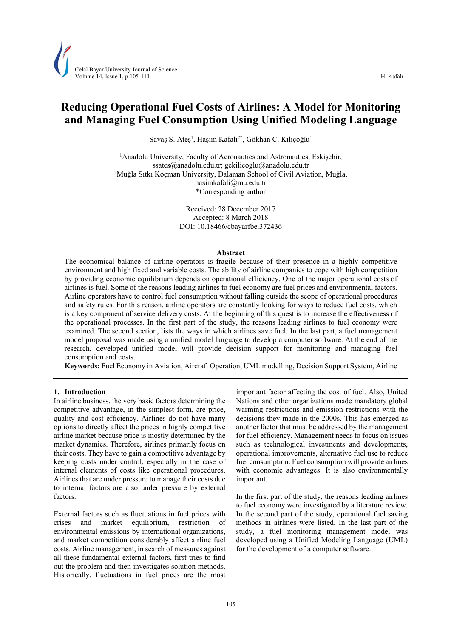# **Reducing Operational Fuel Costs of Airlines: A Model for Monitoring and Managing Fuel Consumption Using Unified Modeling Language**

Savaş S. Ateş<sup>1</sup>, Haşim Kafalı<sup>2\*</sup>, Gökhan C. Kılıçoğlu<sup>1</sup>

<sup>1</sup> Anadolu University, Faculty of Aeronautics and Astronautics, Eskişehir, ssates@anadolu.edu.tr; gckilicoglu@anadolu.edu.tr 2 <sup>2</sup>Muğla Sıtkı Koçman University, Dalaman School of Civil Aviation, Muğla, hasimkafali@mu.edu.tr \*Corresponding author

> Received: 28 December 2017 Accepted: 8 March 2018 DOI: 10.18466/cbayarfbe.372436

#### **Abstract**

The economical balance of airline operators is fragile because of their presence in a highly competitive environment and high fixed and variable costs. The ability of airline companies to cope with high competition by providing economic equilibrium depends on operational efficiency. One of the major operational costs of airlines is fuel. Some of the reasons leading airlines to fuel economy are fuel prices and environmental factors. Airline operators have to control fuel consumption without falling outside the scope of operational procedures and safety rules. For this reason, airline operators are constantly looking for ways to reduce fuel costs, which is a key component of service delivery costs. At the beginning of this quest is to increase the effectiveness of the operational processes. In the first part of the study, the reasons leading airlines to fuel economy were examined. The second section, lists the ways in which airlines save fuel. In the last part, a fuel management model proposal was made using a unified model language to develop a computer software. At the end of the research, developed unified model will provide decision support for monitoring and managing fuel consumption and costs.

**Keywords:** Fuel Economy in Aviation, Aircraft Operation, UML modelling, Decision Support System, Airline

## **1. Introduction**

In airline business, the very basic factors determining the competitive advantage, in the simplest form, are price, quality and cost efficiency. Airlines do not have many options to directly affect the prices in highly competitive airline market because price is mostly determined by the market dynamics. Therefore, airlines primarily focus on their costs. They have to gain a competitive advantage by keeping costs under control, especially in the case of internal elements of costs like operational procedures. Airlines that are under pressure to manage their costs due to internal factors are also under pressure by external factors.

External factors such as fluctuations in fuel prices with crises and market equilibrium, restriction environmental emissions by international organizations, and market competition considerably affect airline fuel costs. Airline management, in search of measures against all these fundamental external factors, first tries to find out the problem and then investigates solution methods. Historically, fluctuations in fuel prices are the most

important factor affecting the cost of fuel. Also, United Nations and other organizations made mandatory global warming restrictions and emission restrictions with the decisions they made in the 2000s. This has emerged as another factor that must be addressed by the management for fuel efficiency. Management needs to focus on issues such as technological investments and developments, operational improvements, alternative fuel use to reduce fuel consumption. Fuel consumption will provide airlines with economic advantages. It is also environmentally important.

In the first part of the study, the reasons leading airlines to fuel economy were investigated by a literature review. In the second part of the study, operational fuel saving methods in airlines were listed. In the last part of the study, a fuel monitoring management model was developed using a Unified Modeling Language (UML) for the development of a computer software.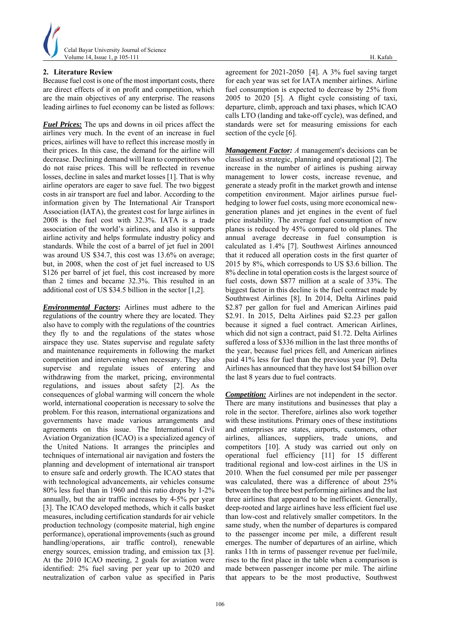

# **2. Literature Review**

Because fuel cost is one of the most important costs, there are direct effects of it on profit and competition, which are the main objectives of any enterprise. The reasons leading airlines to fuel economy can be listed as follows:

*Fuel Prices:* The ups and downs in oil prices affect the airlines very much. In the event of an increase in fuel prices, airlines will have to reflect this increase mostly in their prices. In this case, the demand for the airline will decrease. Declining demand will lean to competitors who do not raise prices. This will be reflected in revenue losses, decline in sales and market losses [1]. That is why airline operators are eager to save fuel. The two biggest costs in air transport are fuel and labor. According to the information given by The International Air Transport Association (IATA), the greatest cost for large airlines in 2008 is the fuel cost with 32.3%. IATA is a trade association of the world's airlines, and also it supports airline activity and helps formulate industry policy and standards. While the cost of a barrel of jet fuel in 2001 was around US \$34.7, this cost was 13.6% on average; but, in 2008, when the cost of jet fuel increased to US \$126 per barrel of jet fuel, this cost increased by more than 2 times and became 32.3%. This resulted in an additional cost of US \$34.5 billion in the sector [1,2].

*Environmental Factors***:** Airlines must adhere to the regulations of the country where they are located. They also have to comply with the regulations of the countries they fly to and the regulations of the states whose airspace they use. States supervise and regulate safety and maintenance requirements in following the market competition and intervening when necessary. They also supervise and regulate issues of entering and withdrawing from the market, pricing, environmental regulations, and issues about safety [2]. As the consequences of global warming will concern the whole world, international cooperation is necessary to solve the problem. For this reason, international organizations and governments have made various arrangements and agreements on this issue. The International Civil Aviation Organization (ICAO) is a specialized agency of the United Nations. It arranges the principles and techniques of international air navigation and fosters the planning and development of international air transport to ensure safe and orderly growth. The ICAO states that with technological advancements, air vehicles consume 80% less fuel than in 1960 and this ratio drops by 1-2% annually, but the air traffic increases by 4-5% per year [3]. The ICAO developed methods, which it calls basket measures, including certification standards for air vehicle production technology (composite material, high engine performance), operational improvements (such as ground handling/operations, air traffic control), renewable energy sources, emission trading, and emission tax [3]. At the 2010 ICAO meeting, 2 goals for aviation were identified: 2% fuel saving per year up to 2020 and neutralization of carbon value as specified in Paris

agreement for 2021-2050 [4]. A 3% fuel saving target for each year was set for IATA member airlines. Airline fuel consumption is expected to decrease by 25% from 2005 to 2020 [5]. A flight cycle consisting of taxi, departure, climb, approach and taxi phases, which ICAO calls LTO (landing and take-off cycle), was defined, and standards were set for measuring emissions for each section of the cycle [6].

*Management Factor: A* management's decisions can be classified as strategic, planning and operational [2]. The increase in the number of airlines is pushing airway management to lower costs, increase revenue, and generate a steady profit in the market growth and intense competition environment. Major airlines pursue fuelhedging to lower fuel costs, using more economical newgeneration planes and jet engines in the event of fuel price instability. The average fuel consumption of new planes is reduced by 45% compared to old planes. The annual average decrease in fuel consumption is calculated as 1.4% [7]. Southwest Airlines announced that it reduced all operation costs in the first quarter of 2015 by 8%, which corresponds to US \$3.6 billion. The 8% decline in total operation costs is the largest source of fuel costs, down \$877 million at a scale of 33%. The biggest factor in this decline is the fuel contract made by Southtwest Airlines [8]. In 2014, Delta Airlines paid \$2.87 per gallon for fuel and American Airlines paid \$2.91. In 2015, Delta Airlines paid \$2.23 per gallon because it signed a fuel contract. American Airlines, which did not sign a contract, paid \$1.72. Delta Airlines suffered a loss of \$336 million in the last three months of the year, because fuel prices fell, and American airlines paid 41% less for fuel than the previous year [9]. Delta Airlines has announced that they have lost \$4 billion over the last 8 years due to fuel contracts.

*Competition:* Airlines are not independent in the sector. There are many institutions and businesses that play a role in the sector. Therefore, airlines also work together with these institutions. Primary ones of these institutions and enterprises are states, airports, customers, other airlines, alliances, suppliers, trade unions, and competitors [10]. A study was carried out only on operational fuel efficiency [11] for 15 different traditional regional and low-cost airlines in the US in 2010. When the fuel consumed per mile per passenger was calculated, there was a difference of about 25% between the top three best performing airlines and the last three airlines that appeared to be inefficient. Generally, deep-rooted and large airlines have less efficient fuel use than low-cost and relatively smaller competitors. In the same study, when the number of departures is compared to the passenger income per mile, a different result emerges. The number of departures of an airline, which ranks 11th in terms of passenger revenue per fuel/mile, rises to the first place in the table when a comparison is made between passenger income per mile. The airline that appears to be the most productive, Southwest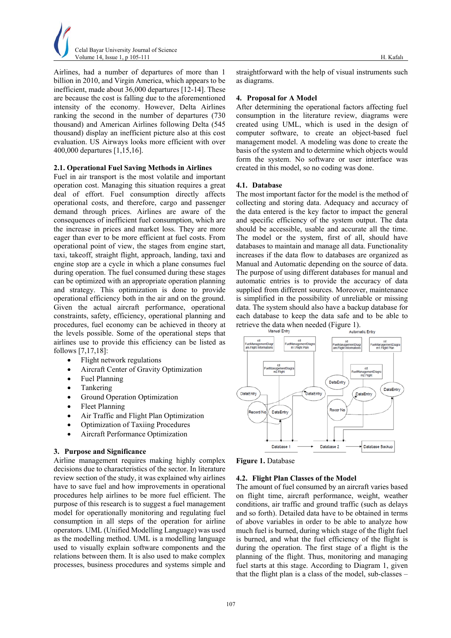

Airlines, had a number of departures of more than 1 billion in 2010, and Virgin America, which appears to be inefficient, made about 36,000 departures [12-14]. These are because the cost is falling due to the aforementioned intensity of the economy. However, Delta Airlines ranking the second in the number of departures (730 thousand) and American Airlines following Delta (545 thousand) display an inefficient picture also at this cost evaluation. US Airways looks more efficient with over 400,000 departures [1,15,16].

### **2.1. Operational Fuel Saving Methods in Airlines**

Fuel in air transport is the most volatile and important operation cost. Managing this situation requires a great deal of effort. Fuel consumption directly affects operational costs, and therefore, cargo and passenger demand through prices. Airlines are aware of the consequences of inefficient fuel consumption, which are the increase in prices and market loss. They are more eager than ever to be more efficient at fuel costs. From operational point of view, the stages from engine start, taxi, takeoff, straight flight, approach, landing, taxi and engine stop are a cycle in which a plane consumes fuel during operation. The fuel consumed during these stages can be optimized with an appropriate operation planning and strategy. This optimization is done to provide operational efficiency both in the air and on the ground. Given the actual aircraft performance, operational constraints, safety, efficiency, operational planning and procedures, fuel economy can be achieved in theory at the levels possible. Some of the operational steps that airlines use to provide this efficiency can be listed as follows [7,17,18]:

- Flight network regulations
- Aircraft Center of Gravity Optimization
- Fuel Planning
- Tankering
- Ground Operation Optimization
- Fleet Planning
- Air Traffic and Flight Plan Optimization
- Optimization of Taxiing Procedures
- Aircraft Performance Optimization

#### **3. Purpose and Significance**

Airline management requires making highly complex decisions due to characteristics of the sector. In literature review section of the study, it was explained why airlines have to save fuel and how improvements in operational procedures help airlines to be more fuel efficient. The purpose of this research is to suggest a fuel management model for operationally monitoring and regulating fuel consumption in all steps of the operation for airline operators. UML (Unified Modelling Language) was used as the modelling method. UML is a modelling language used to visually explain software components and the relations between them. It is also used to make complex processes, business procedures and systems simple and

straightforward with the help of visual instruments such as diagrams.

#### **4. Proposal for A Model**

After determining the operational factors affecting fuel consumption in the literature review, diagrams were created using UML, which is used in the design of computer software, to create an object-based fuel management model. A modeling was done to create the basis of the system and to determine which objects would form the system. No software or user interface was created in this model, so no coding was done.

### **4.1. Database**

The most important factor for the model is the method of collecting and storing data. Adequacy and accuracy of the data entered is the key factor to impact the general and specific efficiency of the system output. The data should be accessible, usable and accurate all the time. The model or the system, first of all, should have databases to maintain and manage all data. Functionality increases if the data flow to databases are organized as Manual and Automatic depending on the source of data. The purpose of using different databases for manual and automatic entries is to provide the accuracy of data supplied from different sources. Moreover, maintenance is simplified in the possibility of unreliable or missing data. The system should also have a backup database for each database to keep the data safe and to be able to retrieve the data when needed (Figure 1).





#### **4.2. Flight Plan Classes of the Model**

The amount of fuel consumed by an aircraft varies based on flight time, aircraft performance, weight, weather conditions, air traffic and ground traffic (such as delays and so forth). Detailed data have to be obtained in terms of above variables in order to be able to analyze how much fuel is burned, during which stage of the flight fuel is burned, and what the fuel efficiency of the flight is during the operation. The first stage of a flight is the planning of the flight. Thus, monitoring and managing fuel starts at this stage. According to Diagram 1, given that the flight plan is a class of the model, sub-classes –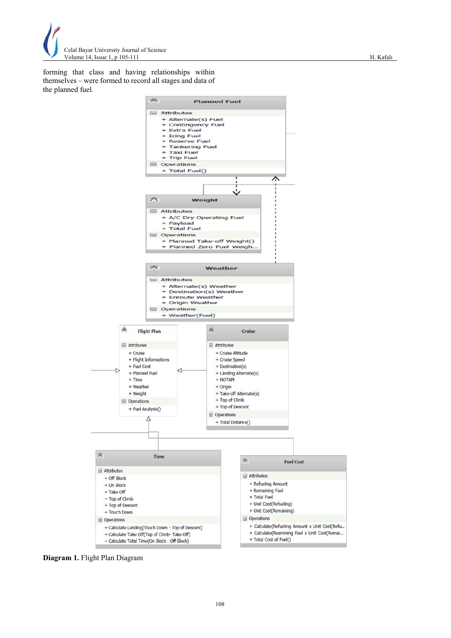

forming that class and having relationships within themselves – were formed to record all stages and data of the planned fuel.



**Diagram 1.** Flight Plan Diagram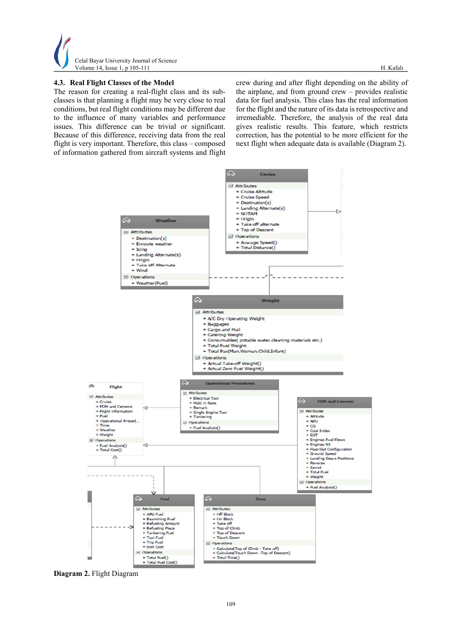

# **4.3. Real Flight Classes of the Model**

The reason for creating a real-flight class and its subclasses is that planning a flight may be very close to real conditions, but real flight conditions may be different due to the influence of many variables and performance issues. This difference can be trivial or significant. Because of this difference, receiving data from the real flight is very important. Therefore, this class – composed of information gathered from aircraft systems and flight crew during and after flight depending on the ability of the airplane, and from ground crew – provides realistic data for fuel analysis. This class has the real information for the flight and the nature of its data is retrospective and irremediable. Therefore, the analysis of the real data gives realistic results. This feature, which restricts correction, has the potential to be more efficient for the next flight when adequate data is available (Diagram 2).



**Diagram 2.** Flight Diagram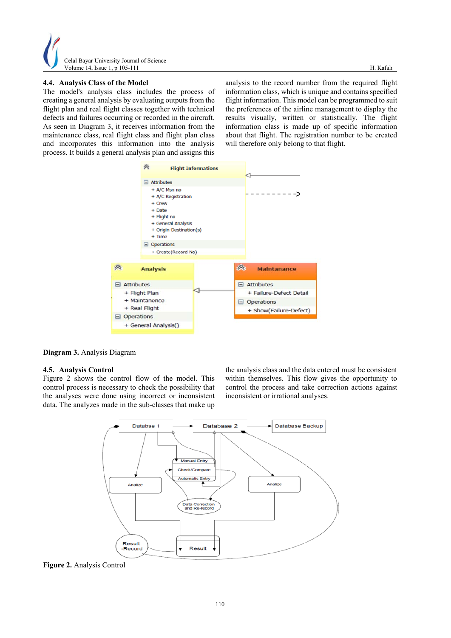

# **4.4. Analysis Class of the Model**

The model's analysis class includes the process of creating a general analysis by evaluating outputs from the flight plan and real flight classes together with technical defects and failures occurring or recorded in the aircraft. As seen in Diagram 3, it receives information from the maintenance class, real flight class and flight plan class and incorporates this information into the analysis process. It builds a general analysis plan and assigns this

analysis to the record number from the required flight information class, which is unique and contains specified flight information. This model can be programmed to suit the preferences of the airline management to display the results visually, written or statistically. The flight information class is made up of specific information about that flight. The registration number to be created will therefore only belong to that flight.



**Diagram 3.** Analysis Diagram

## **4.5. Analysis Control**

Figure 2 shows the control flow of the model. This control process is necessary to check the possibility that the analyses were done using incorrect or inconsistent data. The analyzes made in the sub-classes that make up

the analysis class and the data entered must be consistent within themselves. This flow gives the opportunity to control the process and take correction actions against inconsistent or irrational analyses.



**Figure 2.** Analysis Control